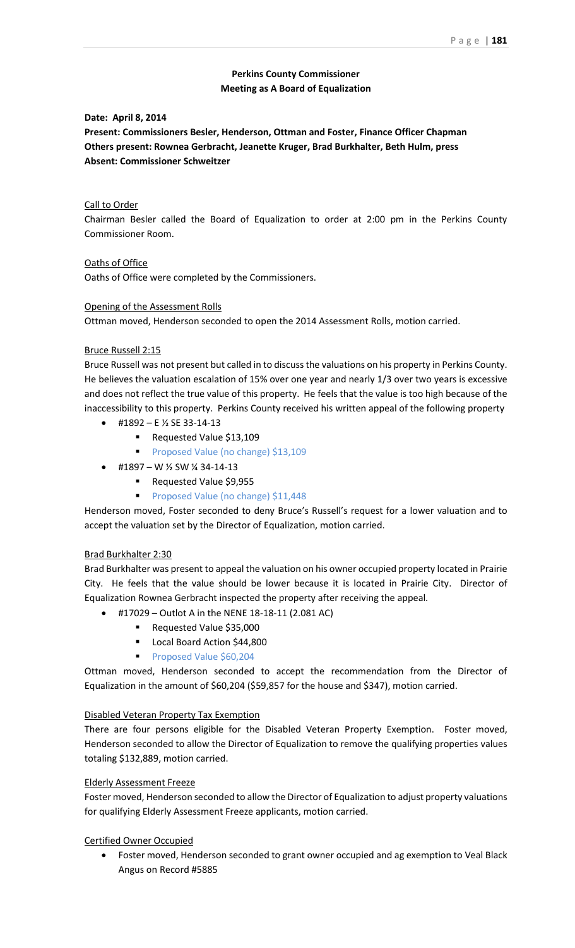# **Perkins County Commissioner Meeting as A Board of Equalization**

## **Date: April 8, 2014**

**Present: Commissioners Besler, Henderson, Ottman and Foster, Finance Officer Chapman Others present: Rownea Gerbracht, Jeanette Kruger, Brad Burkhalter, Beth Hulm, press Absent: Commissioner Schweitzer**

## Call to Order

Chairman Besler called the Board of Equalization to order at 2:00 pm in the Perkins County Commissioner Room.

Oaths of Office Oaths of Office were completed by the Commissioners.

## Opening of the Assessment Rolls

Ottman moved, Henderson seconded to open the 2014 Assessment Rolls, motion carried.

## Bruce Russell 2:15

Bruce Russell was not present but called in to discuss the valuations on his property in Perkins County. He believes the valuation escalation of 15% over one year and nearly 1/3 over two years is excessive and does not reflect the true value of this property. He feels that the value is too high because of the inaccessibility to this property. Perkins County received his written appeal of the following property

- #1892 E ½ SE 33-14-13
	- Requested Value \$13,109
	- Proposed Value (no change) \$13,109
- #1897 W ½ SW ¼ 34-14-13
	- Requested Value \$9,955
	- Proposed Value (no change) \$11,448

Henderson moved, Foster seconded to deny Bruce's Russell's request for a lower valuation and to accept the valuation set by the Director of Equalization, motion carried.

## Brad Burkhalter 2:30

Brad Burkhalter was present to appeal the valuation on his owner occupied property located in Prairie City. He feels that the value should be lower because it is located in Prairie City. Director of Equalization Rownea Gerbracht inspected the property after receiving the appeal.

- $\bullet$  #17029 Outlot A in the NENE 18-18-11 (2.081 AC)
	- Requested Value \$35,000
		- Local Board Action \$44,800
		- Proposed Value \$60,204

Ottman moved, Henderson seconded to accept the recommendation from the Director of Equalization in the amount of \$60,204 (\$59,857 for the house and \$347), motion carried.

## Disabled Veteran Property Tax Exemption

There are four persons eligible for the Disabled Veteran Property Exemption. Foster moved, Henderson seconded to allow the Director of Equalization to remove the qualifying properties values totaling \$132,889, motion carried.

## Elderly Assessment Freeze

Foster moved, Henderson seconded to allow the Director of Equalization to adjust property valuations for qualifying Elderly Assessment Freeze applicants, motion carried.

Certified Owner Occupied

 Foster moved, Henderson seconded to grant owner occupied and ag exemption to Veal Black Angus on Record #5885